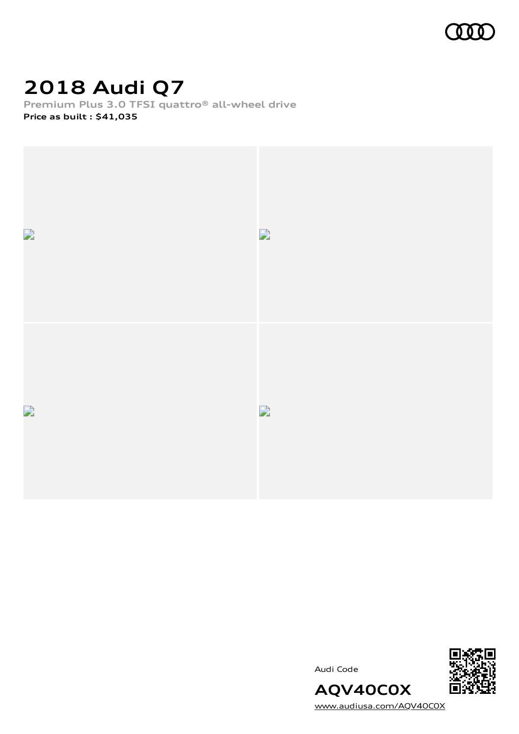

# **2018 Audi Q7**

**Premium Plus 3.0 TFSI quattro® all-wheel drive**









[www.audiusa.com/AQV40C0X](https://www.audiusa.com/AQV40C0X)

**AQV40C0X**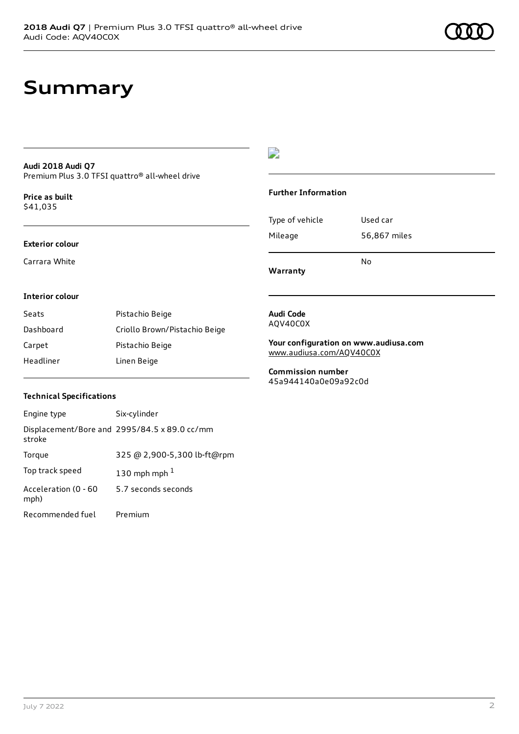## **Summary**

### **Audi 2018 Audi Q7** Premium Plus 3.0 TFSI quattro® all-wheel drive

**Price as buil[t](#page-10-0)** \$41,035

### **Exterior colour**

Carrara White



### **Further Information**

|                 | N٥           |
|-----------------|--------------|
| Mileage         | 56,867 miles |
| Type of vehicle | Used car     |

**Warranty**

### **Interior colour**

| Seats     | Pistachio Beige               |
|-----------|-------------------------------|
| Dashboard | Criollo Brown/Pistachio Beige |
| Carpet    | Pistachio Beige               |
| Headliner | Linen Beige                   |

#### **Audi Code** AQV40C0X

**Your configuration on www.audiusa.com** [www.audiusa.com/AQV40C0X](https://www.audiusa.com/AQV40C0X)

**Commission number** 45a944140a0e09a92c0d

### **Technical Specifications**

| Engine type                  | Six-cylinder                                 |
|------------------------------|----------------------------------------------|
| stroke                       | Displacement/Bore and 2995/84.5 x 89.0 cc/mm |
| Torque                       | 325 @ 2,900-5,300 lb-ft@rpm                  |
| Top track speed              | 130 mph mph $1$                              |
| Acceleration (0 - 60<br>mph) | 5.7 seconds seconds                          |
| Recommended fuel             | Premium                                      |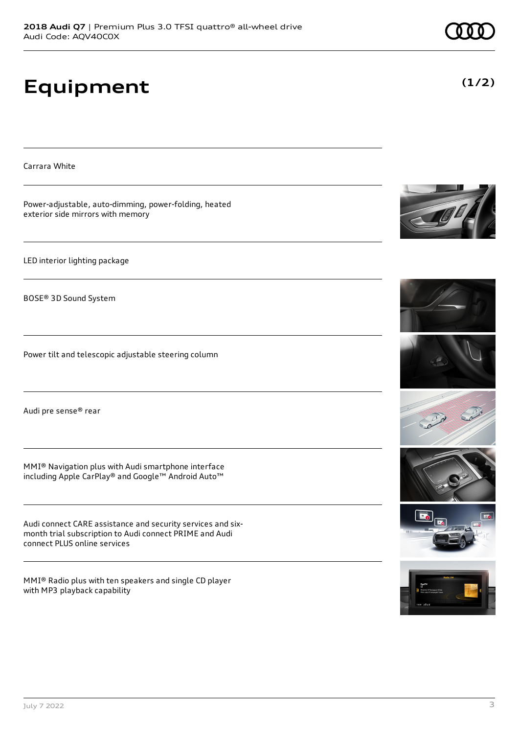# **Equipment**

Carrara White

Power-adjustable, auto-dimming, power-folding, heated exterior side mirrors with memory

LED interior lighting package

BOSE® 3D Sound System

Power tilt and telescopic adjustable steering column

Audi pre sense® rear

MMI® Navigation plus with Audi smartphone interface including Apple CarPlay® and Google™ Android Auto™

Audi connect CARE assistance and security services and sixmonth trial subscription to Audi connect PRIME and Audi connect PLUS online services

MMI® Radio plus with ten speakers and single CD player with MP3 playback capability















**(1/2)**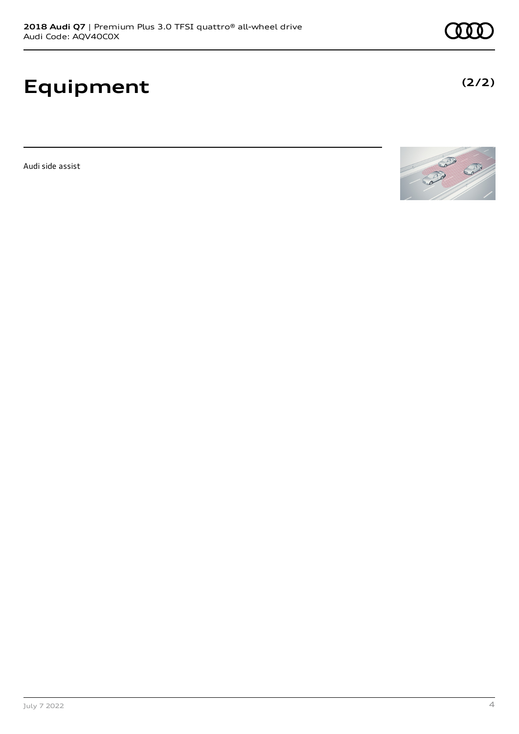# **Equipment**

Audi side assist



**(2/2)**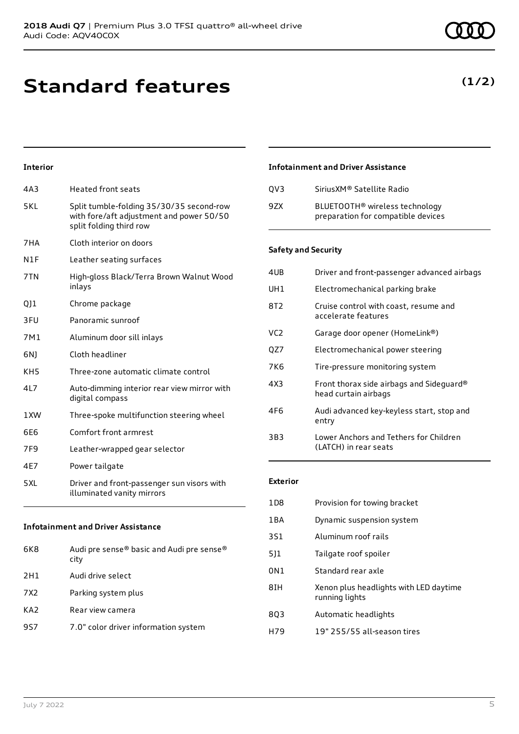# **Standard features**

### **Interior**

| 4A3                                       | <b>Heated front seats</b>                                                                                       |
|-------------------------------------------|-----------------------------------------------------------------------------------------------------------------|
| 5KL                                       | Split tumble-folding 35/30/35 second-row<br>with fore/aft adjustment and power 50/50<br>split folding third row |
| 7HA                                       | Cloth interior on doors                                                                                         |
| N1F                                       | Leather seating surfaces                                                                                        |
| 7TN                                       | High-gloss Black/Terra Brown Walnut Wood<br>inlays                                                              |
| QJ1                                       | Chrome package                                                                                                  |
| 3FU                                       | Panoramic sunroof                                                                                               |
| 7M1                                       | Aluminum door sill inlays                                                                                       |
| 6N)                                       | Cloth headliner                                                                                                 |
| KH <sub>5</sub>                           | Three-zone automatic climate control                                                                            |
| 4L7                                       | Auto-dimming interior rear view mirror with<br>digital compass                                                  |
| 1XW                                       | Three-spoke multifunction steering wheel                                                                        |
| 6E6                                       | Comfort front armrest                                                                                           |
| 7F <sub>9</sub>                           | Leather-wrapped gear selector                                                                                   |
| 4E7                                       | Power tailgate                                                                                                  |
| 5XL                                       | Driver and front-passenger sun visors with<br>illuminated vanity mirrors                                        |
| <b>Infotainment and Driver Assistance</b> |                                                                                                                 |

| 6K8             | Audi pre sense® basic and Audi pre sense®<br>city |
|-----------------|---------------------------------------------------|
| 2H1             | Audi drive select                                 |
| 7X2             | Parking system plus                               |
| KA <sub>2</sub> | Rear view camera                                  |
| 9S7             | 7.0" color driver information system              |
|                 |                                                   |

### **Infotainment and Driver Assistance**

| OV3 | Sirius XM <sup>®</sup> Satellite Radio                                           |
|-----|----------------------------------------------------------------------------------|
| 97X | BLUETOOTH <sup>®</sup> wireless technology<br>preparation for compatible devices |

### **Safety and Security**

| 4UB             | Driver and front-passenger advanced airbags                      |
|-----------------|------------------------------------------------------------------|
| UH1             | Electromechanical parking brake                                  |
| 8T2             | Cruise control with coast, resume and<br>accelerate features     |
| VC <sub>2</sub> | Garage door opener (HomeLink®)                                   |
| QZ7             | Electromechanical power steering                                 |
| 7K6             | Tire-pressure monitoring system                                  |
| 4X3             | Front thorax side airbags and Sideguard®<br>head curtain airbags |
| 4F6             | Audi advanced key-keyless start, stop and<br>entry               |
| 3B3             | Lower Anchors and Tethers for Children<br>(LATCH) in rear seats  |

### **Exterior**

| 1D <sub>8</sub> | Provision for towing bracket                             |
|-----------------|----------------------------------------------------------|
| 1BA             | Dynamic suspension system                                |
| 3S1             | Aluminum roof rails                                      |
| 511             | Tailgate roof spoiler                                    |
| 0N1             | Standard rear axle                                       |
| 8IH             | Xenon plus headlights with LED daytime<br>running lights |
| 803             | Automatic headlights                                     |
| H79             | 19" 255/55 all-season tires                              |
|                 |                                                          |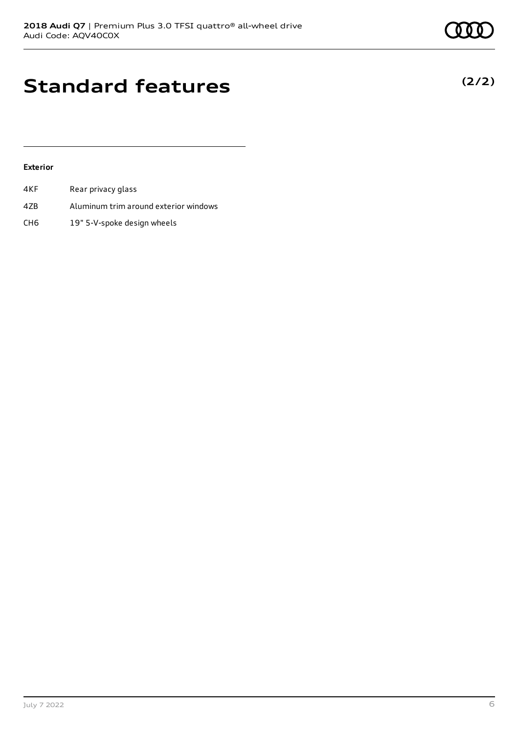**(2/2)**

## **Standard features**

### **Exterior**

| 4KF. | Rear privacy glass                    |
|------|---------------------------------------|
| 4ZB  | Aluminum trim around exterior windows |
| CH6  | 19" 5-V-spoke design wheels           |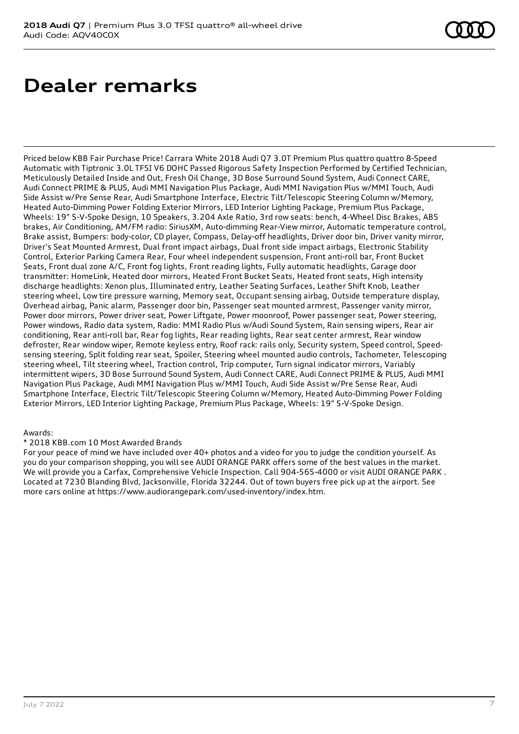## **Dealer remarks**

Priced below KBB Fair Purchase Price! Carrara White 2018 Audi Q7 3.0T Premium Plus quattro quattro 8-Speed Automatic with Tiptronic 3.0L TFSI V6 DOHC Passed Rigorous Safety Inspection Performed by Certified Technician, Meticulously Detailed Inside and Out, Fresh Oil Change, 3D Bose Surround Sound System, Audi Connect CARE, Audi Connect PRIME & PLUS, Audi MMI Navigation Plus Package, Audi MMI Navigation Plus w/MMI Touch, Audi Side Assist w/Pre Sense Rear, Audi Smartphone Interface, Electric Tilt/Telescopic Steering Column w/Memory, Heated Auto-Dimming Power Folding Exterior Mirrors, LED Interior Lighting Package, Premium Plus Package, Wheels: 19" 5-V-Spoke Design, 10 Speakers, 3.204 Axle Ratio, 3rd row seats: bench, 4-Wheel Disc Brakes, ABS brakes, Air Conditioning, AM/FM radio: SiriusXM, Auto-dimming Rear-View mirror, Automatic temperature control, Brake assist, Bumpers: body-color, CD player, Compass, Delay-off headlights, Driver door bin, Driver vanity mirror, Driver's Seat Mounted Armrest, Dual front impact airbags, Dual front side impact airbags, Electronic Stability Control, Exterior Parking Camera Rear, Four wheel independent suspension, Front anti-roll bar, Front Bucket Seats, Front dual zone A/C, Front fog lights, Front reading lights, Fully automatic headlights, Garage door transmitter: HomeLink, Heated door mirrors, Heated Front Bucket Seats, Heated front seats, High intensity discharge headlights: Xenon plus, Illuminated entry, Leather Seating Surfaces, Leather Shift Knob, Leather steering wheel, Low tire pressure warning, Memory seat, Occupant sensing airbag, Outside temperature display, Overhead airbag, Panic alarm, Passenger door bin, Passenger seat mounted armrest, Passenger vanity mirror, Power door mirrors, Power driver seat, Power Liftgate, Power moonroof, Power passenger seat, Power steering, Power windows, Radio data system, Radio: MMI Radio Plus w/Audi Sound System, Rain sensing wipers, Rear air conditioning, Rear anti-roll bar, Rear fog lights, Rear reading lights, Rear seat center armrest, Rear window defroster, Rear window wiper, Remote keyless entry, Roof rack: rails only, Security system, Speed control, Speedsensing steering, Split folding rear seat, Spoiler, Steering wheel mounted audio controls, Tachometer, Telescoping steering wheel, Tilt steering wheel, Traction control, Trip computer, Turn signal indicator mirrors, Variably intermittent wipers, 3D Bose Surround Sound System, Audi Connect CARE, Audi Connect PRIME & PLUS, Audi MMI Navigation Plus Package, Audi MMI Navigation Plus w/MMI Touch, Audi Side Assist w/Pre Sense Rear, Audi Smartphone Interface, Electric Tilt/Telescopic Steering Column w/Memory, Heated Auto-Dimming Power Folding Exterior Mirrors, LED Interior Lighting Package, Premium Plus Package, Wheels: 19" 5-V-Spoke Design.

### Awards:

### \* 2018 KBB.com 10 Most Awarded Brands

For your peace of mind we have included over 40+ photos and a video for you to judge the condition yourself. As you do your comparison shopping, you will see AUDI ORANGE PARK offers some of the best values in the market. We will provide you a Carfax, Comprehensive Vehicle Inspection. Call 904-565-4000 or visit AUDI ORANGE PARK . Located at 7230 Blanding Blvd, Jacksonville, Florida 32244. Out of town buyers free pick up at the airport. See more cars online at https://www.audiorangepark.com/used-inventory/index.htm.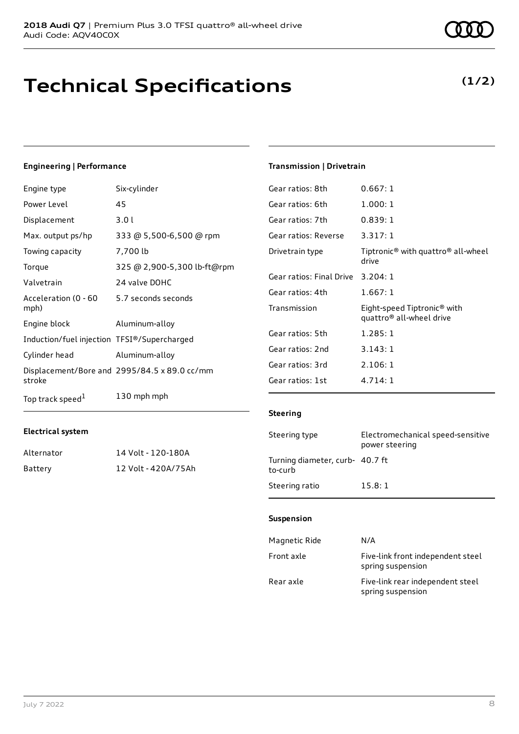# **Technical Specifications**

## **Engineering | Performance**

| Engine type                                 | Six-cylinder                                 |
|---------------------------------------------|----------------------------------------------|
| Power Level                                 | 45                                           |
| Displacement                                | 3.0l                                         |
| Max. output ps/hp                           | 333 @ 5,500-6,500 @ rpm                      |
| Towing capacity                             | 7,700 lb                                     |
| Torque                                      | 325 @ 2,900-5,300 lb-ft@rpm                  |
| Valvetrain                                  | 24 valve DOHC                                |
| Acceleration (0 - 60<br>mph)                | 5.7 seconds seconds                          |
| Engine block                                | Aluminum-alloy                               |
| Induction/fuel injection TFSI®/Supercharged |                                              |
| Cylinder head                               | Aluminum-alloy                               |
| stroke                                      | Displacement/Bore and 2995/84.5 x 89.0 cc/mm |
| Top track speed <sup>1</sup>                | 130 mph mph                                  |

Alternator 14 Volt - 120-180A Battery 12 Volt - 420A/75Ah

### **Transmission | Drivetrain**

| Gear ratios: 8th         | 0.667:1                                                             |
|--------------------------|---------------------------------------------------------------------|
| Gear ratios: 6th         | 1.000:1                                                             |
| Gear ratios: 7th         | 0.839:1                                                             |
| Gear ratios: Reverse     | 3.317:1                                                             |
| Drivetrain type          | Tiptronic <sup>®</sup> with quattro <sup>®</sup> all-wheel<br>drive |
| Gear ratios: Final Drive | 3.204:1                                                             |
| Gear ratios: 4th         | 1.667:1                                                             |
| Transmission             | Eight-speed Tiptronic® with<br>quattro <sup>®</sup> all-wheel drive |
| Gear ratios: 5th         | 1.285:1                                                             |
| Gear ratios: 2nd         | 3.143:1                                                             |
| Gear ratios: 3rd         | 2.106:1                                                             |
| Gear ratios: 1st         | 4.714:1                                                             |
|                          |                                                                     |

#### **Steering**

| Steering type                              | Electromechanical speed-sensitive<br>power steering |
|--------------------------------------------|-----------------------------------------------------|
| Turning diameter, curb- 40.7 ft<br>to-curb |                                                     |
| Steering ratio                             | 15.8:1                                              |

### **Suspension**

| Magnetic Ride | N/A                                                    |
|---------------|--------------------------------------------------------|
| Front axle    | Five-link front independent steel<br>spring suspension |
| Rear axle     | Five-link rear independent steel<br>spring suspension  |

**Electrical system**

## **(1/2)**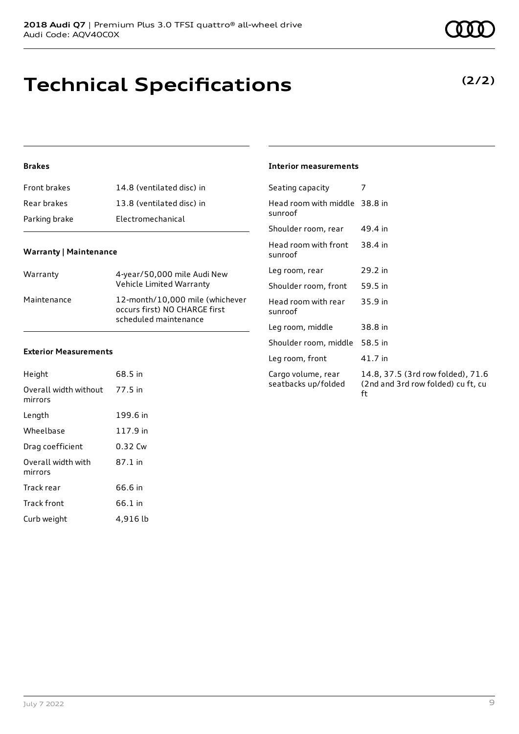# **Technical Specifications**

## **Brakes**

| Front brakes  | 14.8 (ventilated disc) in |
|---------------|---------------------------|
| Rear brakes   | 13.8 (ventilated disc) in |
| Parking brake | Electromechanical         |

## **Warranty | Maintenance**

| Warranty    | 4-year/50,000 mile Audi New<br>Vehicle Limited Warranty                                   |
|-------------|-------------------------------------------------------------------------------------------|
| Maintenance | 12-month/10,000 mile (whichever<br>occurs first) NO CHARGE first<br>scheduled maintenance |

### **Exterior Measurements**

| Height                           | 68.5 in  |
|----------------------------------|----------|
| Overall width without<br>mirrors | 77.5 in  |
| Length                           | 199.6 in |
| Wheelbase                        | 117.9 in |
| Drag coefficient                 | 0.32 Cw  |
| Overall width with<br>mirrors    | 87.1 in  |
| Track rear                       | 66.6 in  |
| Track front                      | 66.1 in  |
| Curb weight                      | 4,916 lb |

| <b>Interior measurements</b> |
|------------------------------|
|                              |

| Seating capacity                          |                                                                               |
|-------------------------------------------|-------------------------------------------------------------------------------|
| Head room with middle 38.8 in<br>sunroof  |                                                                               |
| Shoulder room, rear                       | 49.4 in                                                                       |
| Head room with front<br>sunroof           | 38.4 in                                                                       |
| Leg room, rear                            | 29.2 in                                                                       |
| Shoulder room, front                      | 59.5 in                                                                       |
| Head room with rear<br>sunroof            | 35.9 in                                                                       |
| Leg room, middle                          | 38.8 in                                                                       |
| Shoulder room, middle                     | 58.5 in                                                                       |
| Leg room, front                           | 41.7 in                                                                       |
| Cargo volume, rear<br>seatbacks up/folded | 14.8, 37.5 (3rd row folded), 71.6<br>(2nd and 3rd row folded) cu ft, cu<br>ft |

**(2/2)**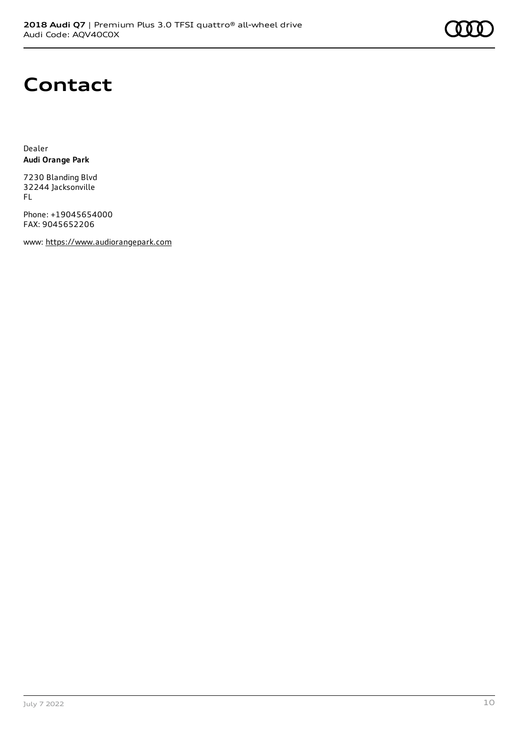# **Contact**

Dealer **Audi Orange Park**

7230 Blanding Blvd 32244 Jacksonville FL

Phone: +19045654000 FAX: 9045652206

www: [https://www.audiorangepark.com](https://www.audiorangepark.com/)